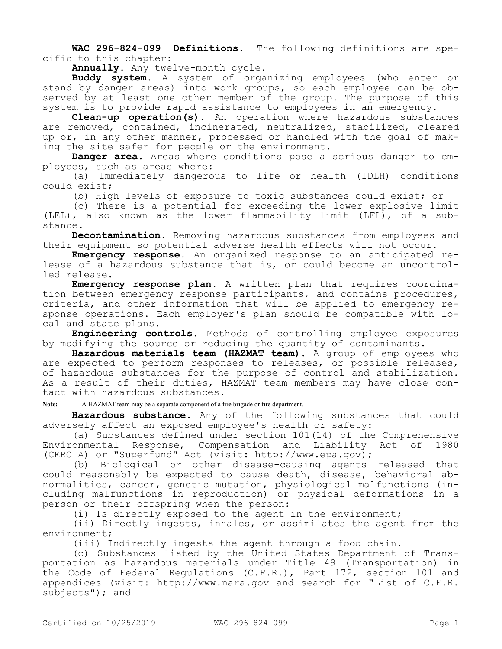**WAC 296-824-099 Definitions.** The following definitions are specific to this chapter:

**Annually.** Any twelve-month cycle.

**Buddy system.** A system of organizing employees (who enter or stand by danger areas) into work groups, so each employee can be observed by at least one other member of the group. The purpose of this system is to provide rapid assistance to employees in an emergency.

**Clean-up operation(s).** An operation where hazardous substances are removed, contained, incinerated, neutralized, stabilized, cleared up or, in any other manner, processed or handled with the goal of making the site safer for people or the environment.

**Danger area.** Areas where conditions pose a serious danger to employees, such as areas where:

(a) Immediately dangerous to life or health (IDLH) conditions could exist;

(b) High levels of exposure to toxic substances could exist; or

(c) There is a potential for exceeding the lower explosive limit (LEL), also known as the lower flammability limit (LFL), of a substance.

**Decontamination.** Removing hazardous substances from employees and their equipment so potential adverse health effects will not occur.

**Emergency response.** An organized response to an anticipated release of a hazardous substance that is, or could become an uncontrolled release.

**Emergency response plan.** A written plan that requires coordination between emergency response participants, and contains procedures, criteria, and other information that will be applied to emergency response operations. Each employer's plan should be compatible with local and state plans.

**Engineering controls.** Methods of controlling employee exposures by modifying the source or reducing the quantity of contaminants.

**Hazardous materials team (HAZMAT team).** A group of employees who are expected to perform responses to releases, or possible releases, of hazardous substances for the purpose of control and stabilization. As a result of their duties, HAZMAT team members may have close contact with hazardous substances.

**Note:** A HAZMAT team may be a separate component of a fire brigade or fire department.

**Hazardous substance.** Any of the following substances that could adversely affect an exposed employee's health or safety:

(a) Substances defined under section 101(14) of the Comprehensive Environmental Response, Compensation and Liability Act of 1980 (CERCLA) or "Superfund" Act (visit: http://www.epa.gov);

(b) Biological or other disease-causing agents released that could reasonably be expected to cause death, disease, behavioral abnormalities, cancer, genetic mutation, physiological malfunctions (including malfunctions in reproduction) or physical deformations in a person or their offspring when the person:

(i) Is directly exposed to the agent in the environment;

(ii) Directly ingests, inhales, or assimilates the agent from the environment;

(iii) Indirectly ingests the agent through a food chain.

(c) Substances listed by the United States Department of Transportation as hazardous materials under Title 49 (Transportation) in the Code of Federal Regulations (C.F.R.), Part 172, section 101 and appendices (visit: http://www.nara.gov and search for "List of C.F.R. subjects"); and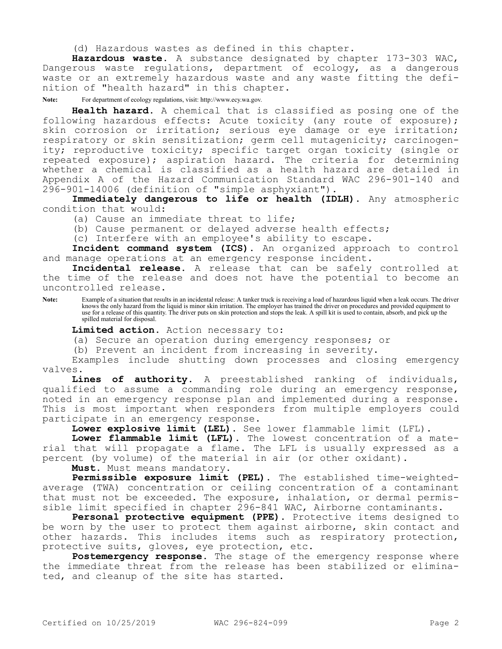(d) Hazardous wastes as defined in this chapter.

**Hazardous waste.** A substance designated by chapter 173-303 WAC, Dangerous waste regulations, department of ecology, as a dangerous waste or an extremely hazardous waste and any waste fitting the definition of "health hazard" in this chapter.

**Note:** For department of ecology regulations, visit: http://www.ecy.wa.gov.

**Health hazard.** A chemical that is classified as posing one of the following hazardous effects: Acute toxicity (any route of exposure); skin corrosion or irritation; serious eye damage or eye irritation; respiratory or skin sensitization; germ cell mutagenicity; carcinogenity; reproductive toxicity; specific target organ toxicity (single or repeated exposure); aspiration hazard. The criteria for determining whether a chemical is classified as a health hazard are detailed in Appendix A of the Hazard Communication Standard WAC 296-901-140 and 296-901-14006 (definition of "simple asphyxiant").

**Immediately dangerous to life or health (IDLH).** Any atmospheric condition that would:

(a) Cause an immediate threat to life;

(b) Cause permanent or delayed adverse health effects;

(c) Interfere with an employee's ability to escape.

**Incident command system (ICS).** An organized approach to control and manage operations at an emergency response incident.

**Incidental release.** A release that can be safely controlled at the time of the release and does not have the potential to become an uncontrolled release.

Note: Example of a situation that results in an incidental release: A tanker truck is receiving a load of hazardous liquid when a leak occurs. The driver knows the only hazard from the liquid is minor skin irritation. The employer has trained the driver on procedures and provided equipment to use for a release of this quantity. The driver puts on skin protection and stops the leak. A spill kit is used to contain, absorb, and pick up the spilled material for disposal.

**Limited action.** Action necessary to:

(a) Secure an operation during emergency responses; or

(b) Prevent an incident from increasing in severity.

Examples include shutting down processes and closing emergency valves.

**Lines of authority.** A preestablished ranking of individuals, qualified to assume a commanding role during an emergency response, noted in an emergency response plan and implemented during a response. This is most important when responders from multiple employers could participate in an emergency response.

**Lower explosive limit (LEL).** See lower flammable limit (LFL).

**Lower flammable limit (LFL).** The lowest concentration of a material that will propagate a flame. The LFL is usually expressed as a percent (by volume) of the material in air (or other oxidant).

**Must.** Must means mandatory.

**Permissible exposure limit (PEL).** The established time-weightedaverage (TWA) concentration or ceiling concentration of a contaminant that must not be exceeded. The exposure, inhalation, or dermal permissible limit specified in chapter 296-841 WAC, Airborne contaminants.

**Personal protective equipment (PPE).** Protective items designed to be worn by the user to protect them against airborne, skin contact and other hazards. This includes items such as respiratory protection, protective suits, gloves, eye protection, etc.

Postemergency response. The stage of the emergency response where the immediate threat from the release has been stabilized or eliminated, and cleanup of the site has started.